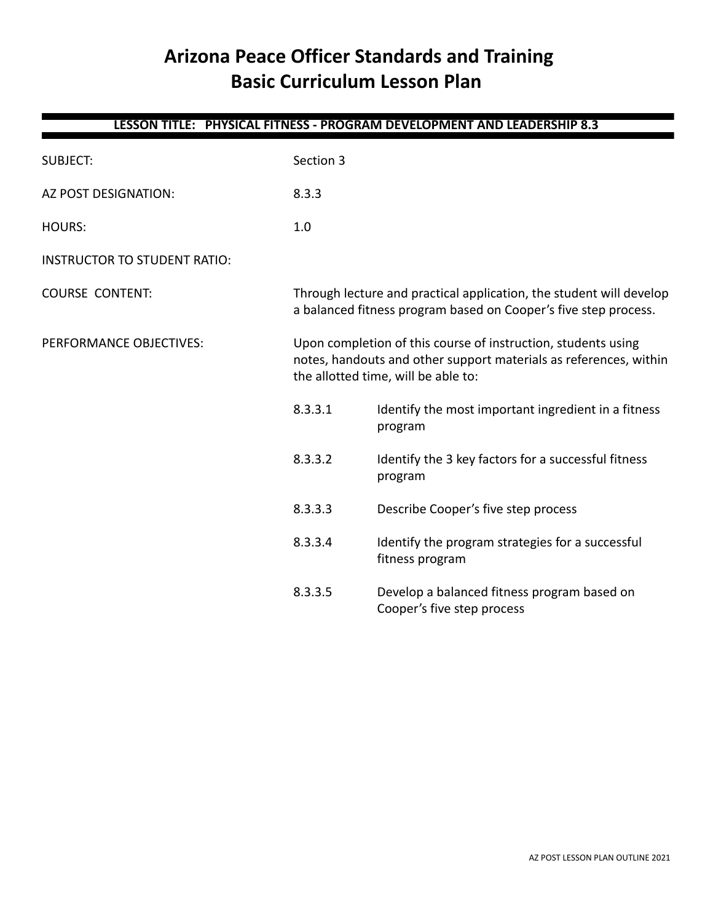# **Arizona Peace Officer Standards and Training Basic Curriculum Lesson Plan**

| LESSON TITLE: PHYSICAL FITNESS - PROGRAM DEVELOPMENT AND LEADERSHIP 8.3 |                                                                                                                                        |                                                                                                                                                                           |  |
|-------------------------------------------------------------------------|----------------------------------------------------------------------------------------------------------------------------------------|---------------------------------------------------------------------------------------------------------------------------------------------------------------------------|--|
| <b>SUBJECT:</b>                                                         | Section 3                                                                                                                              |                                                                                                                                                                           |  |
| AZ POST DESIGNATION:                                                    | 8.3.3                                                                                                                                  |                                                                                                                                                                           |  |
| <b>HOURS:</b>                                                           | 1.0                                                                                                                                    |                                                                                                                                                                           |  |
| <b>INSTRUCTOR TO STUDENT RATIO:</b>                                     |                                                                                                                                        |                                                                                                                                                                           |  |
| <b>COURSE CONTENT:</b>                                                  | Through lecture and practical application, the student will develop<br>a balanced fitness program based on Cooper's five step process. |                                                                                                                                                                           |  |
| PERFORMANCE OBJECTIVES:                                                 |                                                                                                                                        | Upon completion of this course of instruction, students using<br>notes, handouts and other support materials as references, within<br>the allotted time, will be able to: |  |
|                                                                         | 8.3.3.1                                                                                                                                | Identify the most important ingredient in a fitness<br>program                                                                                                            |  |
|                                                                         | 8.3.3.2                                                                                                                                | Identify the 3 key factors for a successful fitness<br>program                                                                                                            |  |
|                                                                         | 8.3.3.3                                                                                                                                | Describe Cooper's five step process                                                                                                                                       |  |
|                                                                         | 8.3.3.4                                                                                                                                | Identify the program strategies for a successful<br>fitness program                                                                                                       |  |
|                                                                         | 8.3.3.5                                                                                                                                | Develop a balanced fitness program based on<br>Cooper's five step process                                                                                                 |  |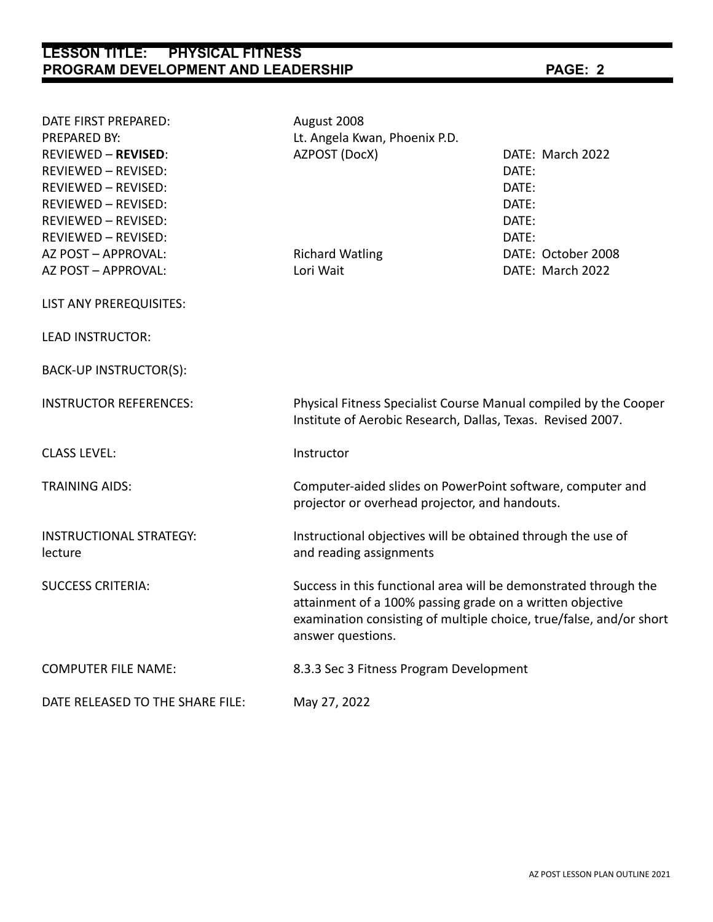# **LESSON TITLE: PHYSICAL FITNESS PROGRAM DEVELOPMENT AND LEADERSHIP PAGE: 2**

| DATE FIRST PREPARED:<br>PREPARED BY:      | August 2008<br>Lt. Angela Kwan, Phoenix P.D.                                                                                    |                                                                                                                                                                                                      |  |  |
|-------------------------------------------|---------------------------------------------------------------------------------------------------------------------------------|------------------------------------------------------------------------------------------------------------------------------------------------------------------------------------------------------|--|--|
| <b>REVIEWED - REVISED:</b>                | AZPOST (DocX)                                                                                                                   | DATE: March 2022                                                                                                                                                                                     |  |  |
| REVIEWED - REVISED:                       |                                                                                                                                 | DATE:                                                                                                                                                                                                |  |  |
| REVIEWED - REVISED:                       |                                                                                                                                 | DATE:                                                                                                                                                                                                |  |  |
| REVIEWED - REVISED:                       |                                                                                                                                 | DATE:                                                                                                                                                                                                |  |  |
| REVIEWED - REVISED:                       |                                                                                                                                 | DATE:                                                                                                                                                                                                |  |  |
| REVIEWED - REVISED:                       |                                                                                                                                 | DATE:                                                                                                                                                                                                |  |  |
| AZ POST - APPROVAL:                       | <b>Richard Watling</b>                                                                                                          | DATE: October 2008                                                                                                                                                                                   |  |  |
| AZ POST - APPROVAL:                       | Lori Wait                                                                                                                       | DATE: March 2022                                                                                                                                                                                     |  |  |
| LIST ANY PREREQUISITES:                   |                                                                                                                                 |                                                                                                                                                                                                      |  |  |
| <b>LEAD INSTRUCTOR:</b>                   |                                                                                                                                 |                                                                                                                                                                                                      |  |  |
| BACK-UP INSTRUCTOR(S):                    |                                                                                                                                 |                                                                                                                                                                                                      |  |  |
| <b>INSTRUCTOR REFERENCES:</b>             | Physical Fitness Specialist Course Manual compiled by the Cooper<br>Institute of Aerobic Research, Dallas, Texas. Revised 2007. |                                                                                                                                                                                                      |  |  |
| <b>CLASS LEVEL:</b>                       | Instructor                                                                                                                      |                                                                                                                                                                                                      |  |  |
| <b>TRAINING AIDS:</b>                     |                                                                                                                                 | Computer-aided slides on PowerPoint software, computer and<br>projector or overhead projector, and handouts.                                                                                         |  |  |
| <b>INSTRUCTIONAL STRATEGY:</b><br>lecture | Instructional objectives will be obtained through the use of<br>and reading assignments                                         |                                                                                                                                                                                                      |  |  |
| <b>SUCCESS CRITERIA:</b>                  | answer questions.                                                                                                               | Success in this functional area will be demonstrated through the<br>attainment of a 100% passing grade on a written objective<br>examination consisting of multiple choice, true/false, and/or short |  |  |
| <b>COMPUTER FILE NAME:</b>                | 8.3.3 Sec 3 Fitness Program Development                                                                                         |                                                                                                                                                                                                      |  |  |
| DATE RELEASED TO THE SHARE FILE:          | May 27, 2022                                                                                                                    |                                                                                                                                                                                                      |  |  |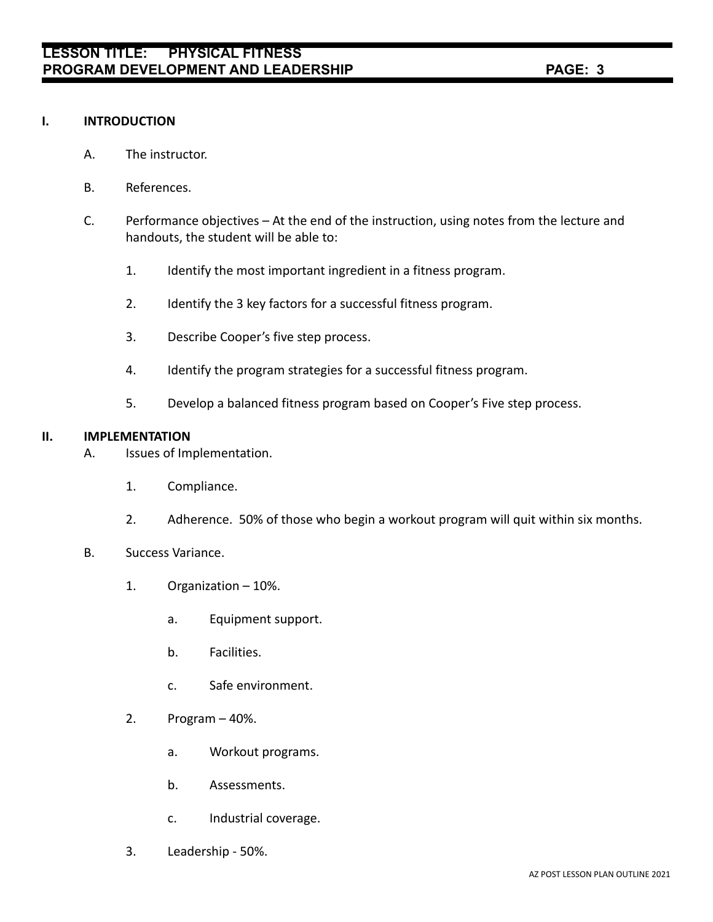## **I. INTRODUCTION**

- A. The instructor.
- B. References.
- C. Performance objectives At the end of the instruction, using notes from the lecture and handouts, the student will be able to:
	- 1. Identify the most important ingredient in a fitness program.
	- 2. Identify the 3 key factors for a successful fitness program.
	- 3. Describe Cooper's five step process.
	- 4. Identify the program strategies for a successful fitness program.
	- 5. Develop a balanced fitness program based on Cooper's Five step process.

## **II. IMPLEMENTATION**

- A. Issues of Implementation.
	- 1. Compliance.
	- 2. Adherence. 50% of those who begin a workout program will quit within six months.
- B. Success Variance.
	- 1. Organization 10%.
		- a. Equipment support.
		- b. Facilities.
		- c. Safe environment.
	- 2. Program 40%.
		- a. Workout programs.
		- b. Assessments.
		- c. Industrial coverage.
	- 3. Leadership 50%.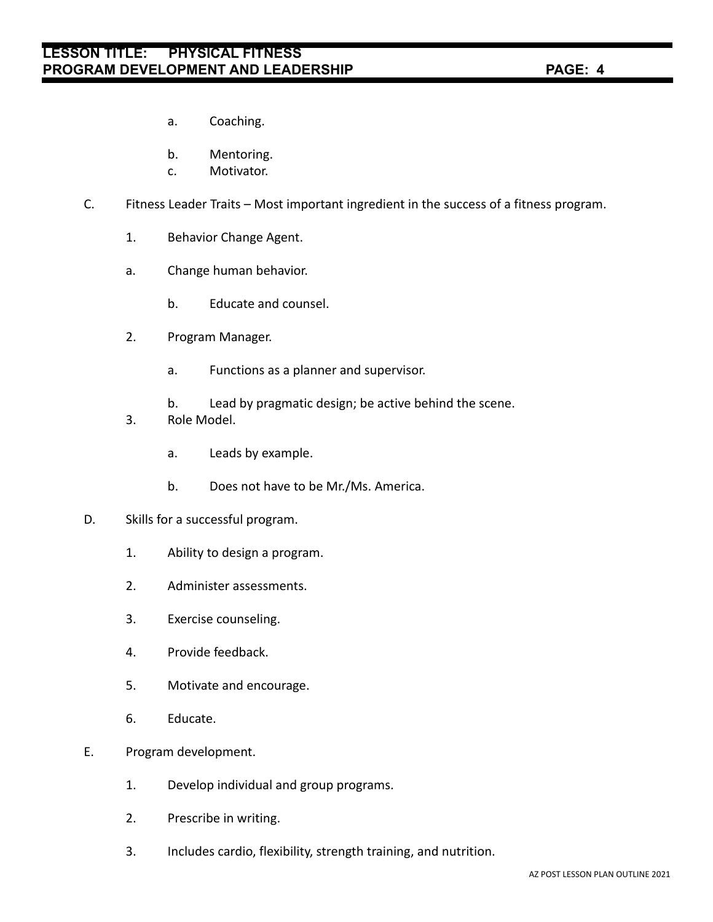- a. Coaching.
- b. Mentoring.
- c. Motivator.
- C. Fitness Leader Traits Most important ingredient in the success of a fitness program.
	- 1. Behavior Change Agent.
	- a. Change human behavior.
		- b. Educate and counsel.
	- 2. Program Manager.
		- a. Functions as a planner and supervisor.
		- b. Lead by pragmatic design; be active behind the scene.
	- 3. Role Model.
		- a. Leads by example.
		- b. Does not have to be Mr./Ms. America.
- D. Skills for a successful program.
	- 1. Ability to design a program.
	- 2. Administer assessments.
	- 3. Exercise counseling.
	- 4. Provide feedback.
	- 5. Motivate and encourage.
	- 6. Educate.
- E. Program development.
	- 1. Develop individual and group programs.
	- 2. Prescribe in writing.
	- 3. Includes cardio, flexibility, strength training, and nutrition.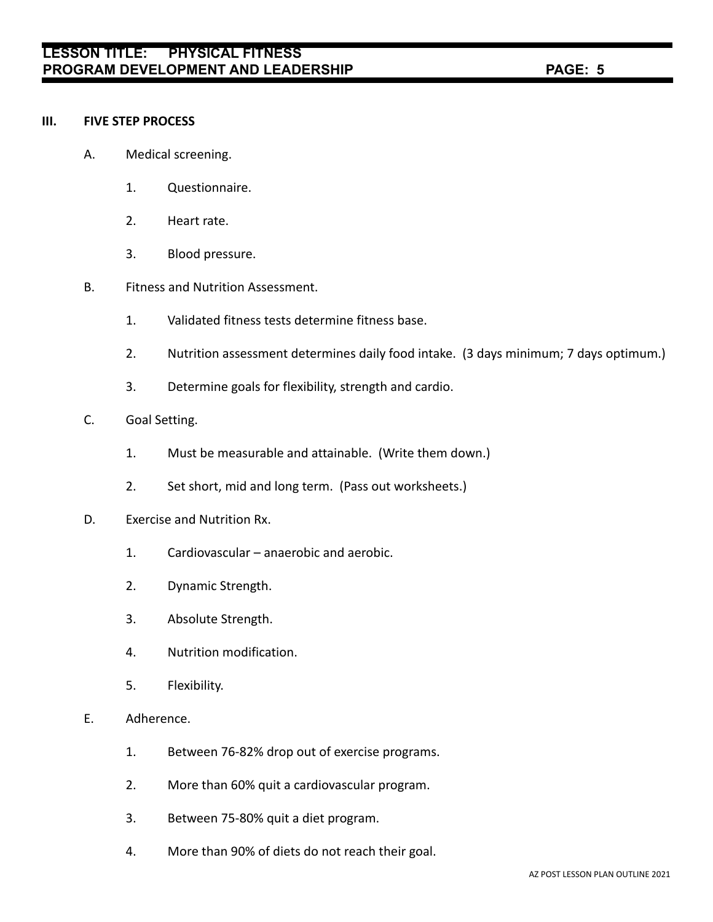#### **III. FIVE STEP PROCESS**

- A. Medical screening.
	- 1. Questionnaire.
	- 2. Heart rate.
	- 3. Blood pressure.
- B. Fitness and Nutrition Assessment.
	- 1. Validated fitness tests determine fitness base.
	- 2. Nutrition assessment determines daily food intake. (3 days minimum; 7 days optimum.)
	- 3. Determine goals for flexibility, strength and cardio.
- C. Goal Setting.
	- 1. Must be measurable and attainable. (Write them down.)
	- 2. Set short, mid and long term. (Pass out worksheets.)
- D. Exercise and Nutrition Rx.
	- 1. Cardiovascular anaerobic and aerobic.
	- 2. Dynamic Strength.
	- 3. Absolute Strength.
	- 4. Nutrition modification.
	- 5. Flexibility.
- E. Adherence.
	- 1. Between 76-82% drop out of exercise programs.
	- 2. More than 60% quit a cardiovascular program.
	- 3. Between 75-80% quit a diet program.
	- 4. More than 90% of diets do not reach their goal.